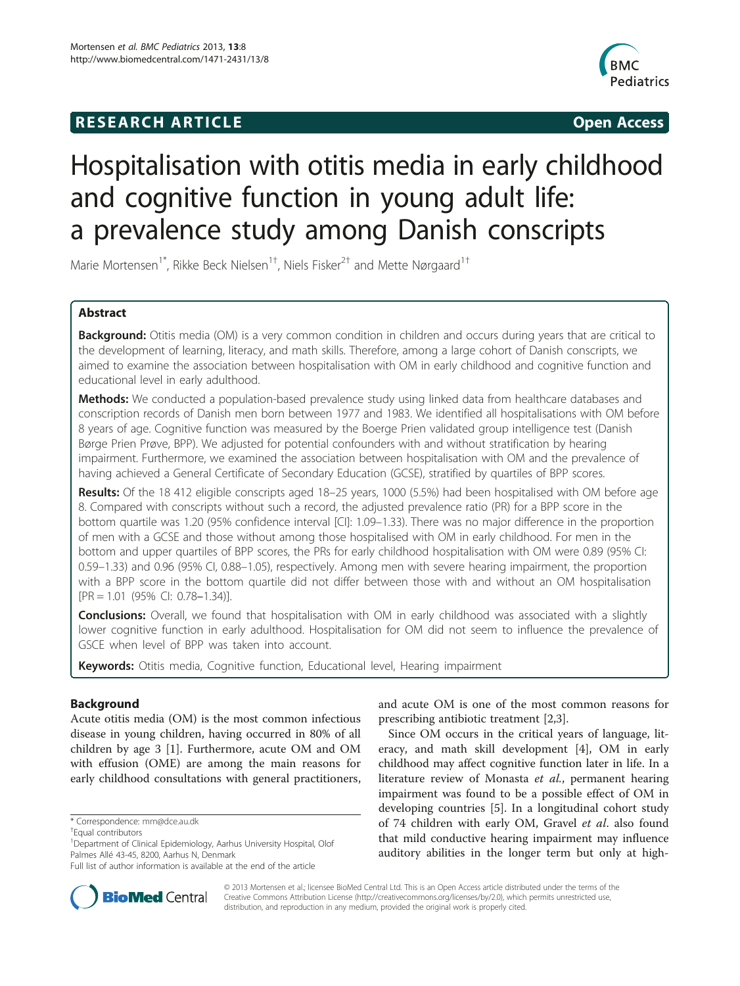## **RESEARCH ARTICLE Example 2014 CONSIDERING CONSIDERING CONSIDERING CONSIDERING CONSIDERING CONSIDERING CONSIDERING CONSIDERING CONSIDERING CONSIDERING CONSIDERING CONSIDERING CONSIDERING CONSIDERING CONSIDERING CONSIDE**



# Hospitalisation with otitis media in early childhood and cognitive function in young adult life: a prevalence study among Danish conscripts

Marie Mortensen<sup>1\*</sup>, Rikke Beck Nielsen<sup>1†</sup>, Niels Fisker<sup>2†</sup> and Mette Nørgaard<sup>1†</sup>

## Abstract

Background: Otitis media (OM) is a very common condition in children and occurs during years that are critical to the development of learning, literacy, and math skills. Therefore, among a large cohort of Danish conscripts, we aimed to examine the association between hospitalisation with OM in early childhood and cognitive function and educational level in early adulthood.

Methods: We conducted a population-based prevalence study using linked data from healthcare databases and conscription records of Danish men born between 1977 and 1983. We identified all hospitalisations with OM before 8 years of age. Cognitive function was measured by the Boerge Prien validated group intelligence test (Danish Børge Prien Prøve, BPP). We adjusted for potential confounders with and without stratification by hearing impairment. Furthermore, we examined the association between hospitalisation with OM and the prevalence of having achieved a General Certificate of Secondary Education (GCSE), stratified by quartiles of BPP scores.

Results: Of the 18 412 eligible conscripts aged 18–25 years, 1000 (5.5%) had been hospitalised with OM before age 8. Compared with conscripts without such a record, the adjusted prevalence ratio (PR) for a BPP score in the bottom quartile was 1.20 (95% confidence interval [CI]: 1.09–1.33). There was no major difference in the proportion of men with a GCSE and those without among those hospitalised with OM in early childhood. For men in the bottom and upper quartiles of BPP scores, the PRs for early childhood hospitalisation with OM were 0.89 (95% CI: 0.59–1.33) and 0.96 (95% CI, 0.88–1.05), respectively. Among men with severe hearing impairment, the proportion with a BPP score in the bottom quartile did not differ between those with and without an OM hospitalisation [PR = 1.01 (95% CI: 0.78–1.34)].

**Conclusions:** Overall, we found that hospitalisation with OM in early childhood was associated with a slightly lower cognitive function in early adulthood. Hospitalisation for OM did not seem to influence the prevalence of GSCE when level of BPP was taken into account.

Keywords: Otitis media, Cognitive function, Educational level, Hearing impairment

## Background

Acute otitis media (OM) is the most common infectious disease in young children, having occurred in 80% of all children by age 3 [[1\]](#page-6-0). Furthermore, acute OM and OM with effusion (OME) are among the main reasons for early childhood consultations with general practitioners,

\* Correspondence: [mm@dce.au.dk](mailto:mm@dce.au.dk) †

and acute OM is one of the most common reasons for prescribing antibiotic treatment [[2,3\]](#page-6-0).

Since OM occurs in the critical years of language, literacy, and math skill development [\[4](#page-6-0)], OM in early childhood may affect cognitive function later in life. In a literature review of Monasta et al., permanent hearing impairment was found to be a possible effect of OM in developing countries [[5\]](#page-6-0). In a longitudinal cohort study of 74 children with early OM, Gravel et al. also found that mild conductive hearing impairment may influence auditory abilities in the longer term but only at high-



© 2013 Mortensen et al.; licensee BioMed Central Ltd. This is an Open Access article distributed under the terms of the Creative Commons Attribution License (<http://creativecommons.org/licenses/by/2.0>), which permits unrestricted use, distribution, and reproduction in any medium, provided the original work is properly cited.

Equal contributors

<sup>&</sup>lt;sup>1</sup>Department of Clinical Epidemiology, Aarhus University Hospital, Olof Palmes Allé 43-45, 8200, Aarhus N, Denmark

Full list of author information is available at the end of the article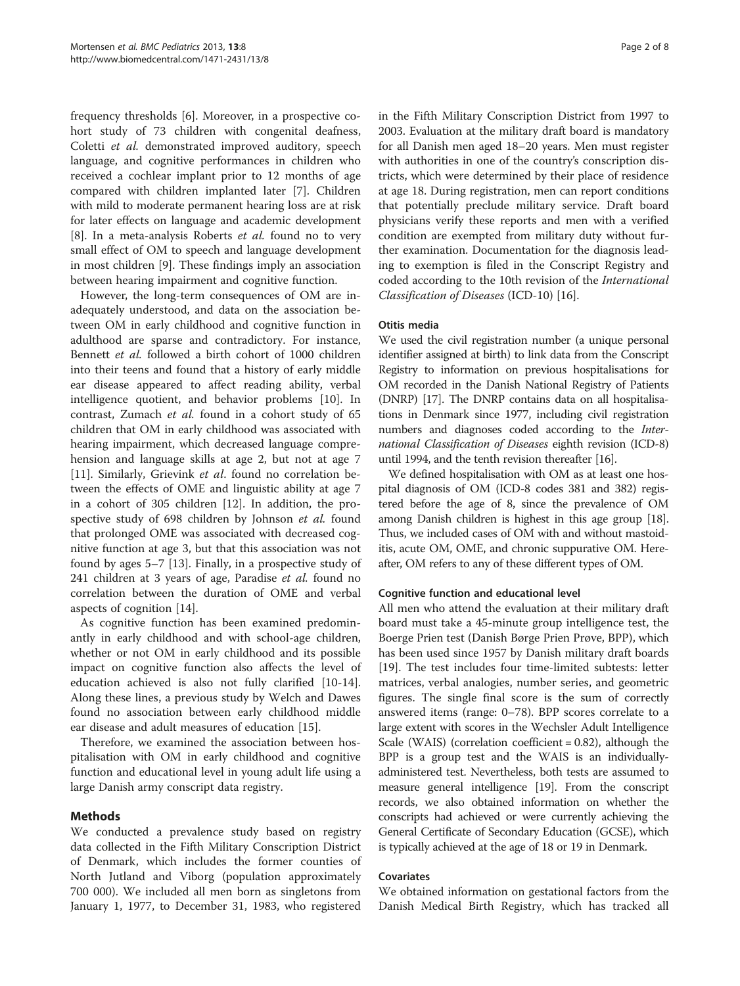frequency thresholds [\[6](#page-6-0)]. Moreover, in a prospective cohort study of 73 children with congenital deafness, Coletti et al. demonstrated improved auditory, speech language, and cognitive performances in children who received a cochlear implant prior to 12 months of age compared with children implanted later [[7\]](#page-6-0). Children with mild to moderate permanent hearing loss are at risk for later effects on language and academic development [[8\]](#page-6-0). In a meta-analysis Roberts et al. found no to very small effect of OM to speech and language development in most children [[9\]](#page-6-0). These findings imply an association between hearing impairment and cognitive function.

However, the long-term consequences of OM are inadequately understood, and data on the association between OM in early childhood and cognitive function in adulthood are sparse and contradictory. For instance, Bennett et al. followed a birth cohort of 1000 children into their teens and found that a history of early middle ear disease appeared to affect reading ability, verbal intelligence quotient, and behavior problems [[10\]](#page-6-0). In contrast, Zumach et al. found in a cohort study of 65 children that OM in early childhood was associated with hearing impairment, which decreased language comprehension and language skills at age 2, but not at age 7 [[11\]](#page-6-0). Similarly, Grievink et al. found no correlation between the effects of OME and linguistic ability at age 7 in a cohort of 305 children [\[12](#page-6-0)]. In addition, the prospective study of 698 children by Johnson et al. found that prolonged OME was associated with decreased cognitive function at age 3, but that this association was not found by ages 5–7 [[13\]](#page-6-0). Finally, in a prospective study of 241 children at 3 years of age, Paradise et al. found no correlation between the duration of OME and verbal aspects of cognition [[14](#page-6-0)].

As cognitive function has been examined predominantly in early childhood and with school-age children, whether or not OM in early childhood and its possible impact on cognitive function also affects the level of education achieved is also not fully clarified [\[10-14](#page-6-0)]. Along these lines, a previous study by Welch and Dawes found no association between early childhood middle ear disease and adult measures of education [\[15](#page-6-0)].

Therefore, we examined the association between hospitalisation with OM in early childhood and cognitive function and educational level in young adult life using a large Danish army conscript data registry.

## Methods

We conducted a prevalence study based on registry data collected in the Fifth Military Conscription District of Denmark, which includes the former counties of North Jutland and Viborg (population approximately 700 000). We included all men born as singletons from January 1, 1977, to December 31, 1983, who registered

in the Fifth Military Conscription District from 1997 to 2003. Evaluation at the military draft board is mandatory for all Danish men aged 18–20 years. Men must register with authorities in one of the country's conscription districts, which were determined by their place of residence at age 18. During registration, men can report conditions that potentially preclude military service. Draft board physicians verify these reports and men with a verified condition are exempted from military duty without further examination. Documentation for the diagnosis leading to exemption is filed in the Conscript Registry and coded according to the 10th revision of the International Classification of Diseases (ICD-10) [\[16](#page-6-0)].

### Otitis media

We used the civil registration number (a unique personal identifier assigned at birth) to link data from the Conscript Registry to information on previous hospitalisations for OM recorded in the Danish National Registry of Patients (DNRP) [\[17\]](#page-6-0). The DNRP contains data on all hospitalisations in Denmark since 1977, including civil registration numbers and diagnoses coded according to the *Inter*national Classification of Diseases eighth revision (ICD-8) until 1994, and the tenth revision thereafter [\[16\]](#page-6-0).

We defined hospitalisation with OM as at least one hospital diagnosis of OM (ICD-8 codes 381 and 382) registered before the age of 8, since the prevalence of OM among Danish children is highest in this age group [\[18](#page-6-0)]. Thus, we included cases of OM with and without mastoiditis, acute OM, OME, and chronic suppurative OM. Hereafter, OM refers to any of these different types of OM.

## Cognitive function and educational level

All men who attend the evaluation at their military draft board must take a 45-minute group intelligence test, the Boerge Prien test (Danish Børge Prien Prøve, BPP), which has been used since 1957 by Danish military draft boards [[19\]](#page-6-0). The test includes four time-limited subtests: letter matrices, verbal analogies, number series, and geometric figures. The single final score is the sum of correctly answered items (range: 0–78). BPP scores correlate to a large extent with scores in the Wechsler Adult Intelligence Scale (WAIS) (correlation coefficient  $= 0.82$ ), although the BPP is a group test and the WAIS is an individuallyadministered test. Nevertheless, both tests are assumed to measure general intelligence [[19](#page-6-0)]. From the conscript records, we also obtained information on whether the conscripts had achieved or were currently achieving the General Certificate of Secondary Education (GCSE), which is typically achieved at the age of 18 or 19 in Denmark.

#### Covariates

We obtained information on gestational factors from the Danish Medical Birth Registry, which has tracked all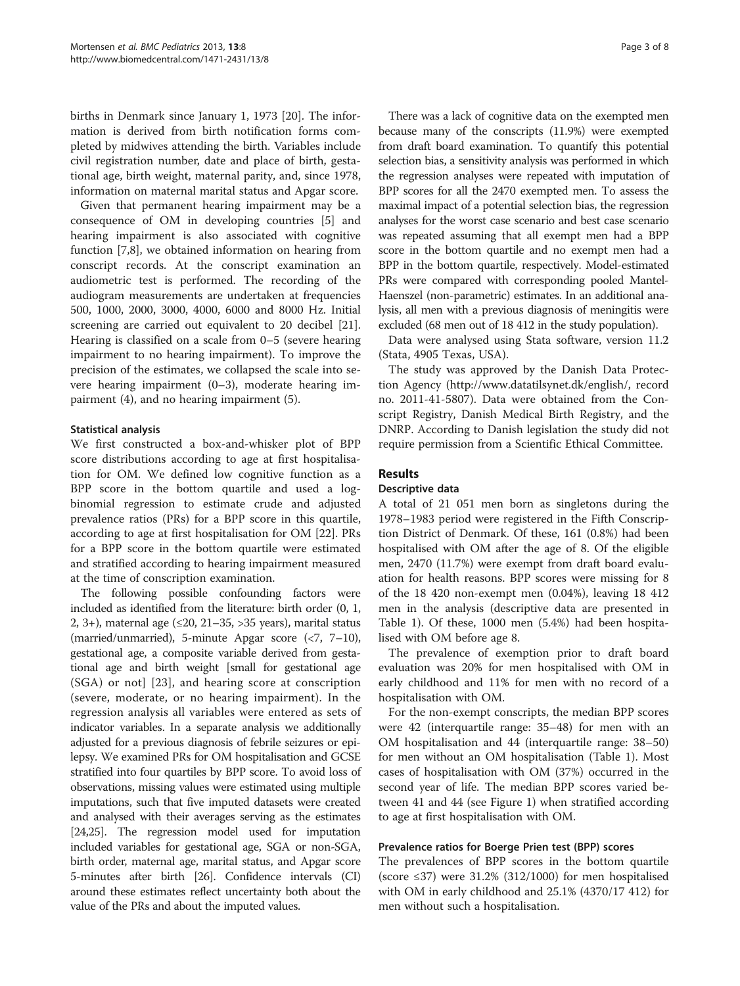births in Denmark since January 1, 1973 [[20\]](#page-6-0). The information is derived from birth notification forms completed by midwives attending the birth. Variables include civil registration number, date and place of birth, gestational age, birth weight, maternal parity, and, since 1978, information on maternal marital status and Apgar score.

Given that permanent hearing impairment may be a consequence of OM in developing countries [[5\]](#page-6-0) and hearing impairment is also associated with cognitive function [\[7,8](#page-6-0)], we obtained information on hearing from conscript records. At the conscript examination an audiometric test is performed. The recording of the audiogram measurements are undertaken at frequencies 500, 1000, 2000, 3000, 4000, 6000 and 8000 Hz. Initial screening are carried out equivalent to 20 decibel [\[21](#page-6-0)]. Hearing is classified on a scale from 0–5 (severe hearing impairment to no hearing impairment). To improve the precision of the estimates, we collapsed the scale into severe hearing impairment (0–3), moderate hearing impairment (4), and no hearing impairment (5).

## Statistical analysis

We first constructed a box-and-whisker plot of BPP score distributions according to age at first hospitalisation for OM. We defined low cognitive function as a BPP score in the bottom quartile and used a logbinomial regression to estimate crude and adjusted prevalence ratios (PRs) for a BPP score in this quartile, according to age at first hospitalisation for OM [[22\]](#page-6-0). PRs for a BPP score in the bottom quartile were estimated and stratified according to hearing impairment measured at the time of conscription examination.

The following possible confounding factors were included as identified from the literature: birth order (0, 1, 2, 3+), maternal age  $(\leq 20, 21-35, >35$  years), marital status (married/unmarried), 5-minute Apgar score (<7, 7–10), gestational age, a composite variable derived from gestational age and birth weight [small for gestational age (SGA) or not] [[23](#page-6-0)], and hearing score at conscription (severe, moderate, or no hearing impairment). In the regression analysis all variables were entered as sets of indicator variables. In a separate analysis we additionally adjusted for a previous diagnosis of febrile seizures or epilepsy. We examined PRs for OM hospitalisation and GCSE stratified into four quartiles by BPP score. To avoid loss of observations, missing values were estimated using multiple imputations, such that five imputed datasets were created and analysed with their averages serving as the estimates [[24,25\]](#page-6-0). The regression model used for imputation included variables for gestational age, SGA or non-SGA, birth order, maternal age, marital status, and Apgar score 5-minutes after birth [\[26\]](#page-6-0). Confidence intervals (CI) around these estimates reflect uncertainty both about the value of the PRs and about the imputed values.

There was a lack of cognitive data on the exempted men because many of the conscripts (11.9%) were exempted from draft board examination. To quantify this potential selection bias, a sensitivity analysis was performed in which the regression analyses were repeated with imputation of BPP scores for all the 2470 exempted men. To assess the maximal impact of a potential selection bias, the regression analyses for the worst case scenario and best case scenario was repeated assuming that all exempt men had a BPP score in the bottom quartile and no exempt men had a BPP in the bottom quartile, respectively. Model-estimated PRs were compared with corresponding pooled Mantel-Haenszel (non-parametric) estimates. In an additional analysis, all men with a previous diagnosis of meningitis were excluded (68 men out of 18 412 in the study population).

Data were analysed using Stata software, version 11.2 (Stata, 4905 Texas, USA).

The study was approved by the Danish Data Protection Agency [\(http://www.datatilsynet.dk/english/,](http://www.datatilsynet.dk/english/) record no. 2011-41-5807). Data were obtained from the Conscript Registry, Danish Medical Birth Registry, and the DNRP. According to Danish legislation the study did not require permission from a Scientific Ethical Committee.

## Results

#### Descriptive data

A total of 21 051 men born as singletons during the 1978–1983 period were registered in the Fifth Conscription District of Denmark. Of these, 161 (0.8%) had been hospitalised with OM after the age of 8. Of the eligible men, 2470 (11.7%) were exempt from draft board evaluation for health reasons. BPP scores were missing for 8 of the 18 420 non-exempt men (0.04%), leaving 18 412 men in the analysis (descriptive data are presented in Table [1\)](#page-3-0). Of these, 1000 men (5.4%) had been hospitalised with OM before age 8.

The prevalence of exemption prior to draft board evaluation was 20% for men hospitalised with OM in early childhood and 11% for men with no record of a hospitalisation with OM.

For the non-exempt conscripts, the median BPP scores were 42 (interquartile range: 35–48) for men with an OM hospitalisation and 44 (interquartile range: 38–50) for men without an OM hospitalisation (Table [1](#page-3-0)). Most cases of hospitalisation with OM (37%) occurred in the second year of life. The median BPP scores varied between 41 and 44 (see Figure [1](#page-4-0)) when stratified according to age at first hospitalisation with OM.

#### Prevalence ratios for Boerge Prien test (BPP) scores

The prevalences of BPP scores in the bottom quartile (score  $\leq$ 37) were 31.2% (312/1000) for men hospitalised with OM in early childhood and 25.1% (4370/17 412) for men without such a hospitalisation.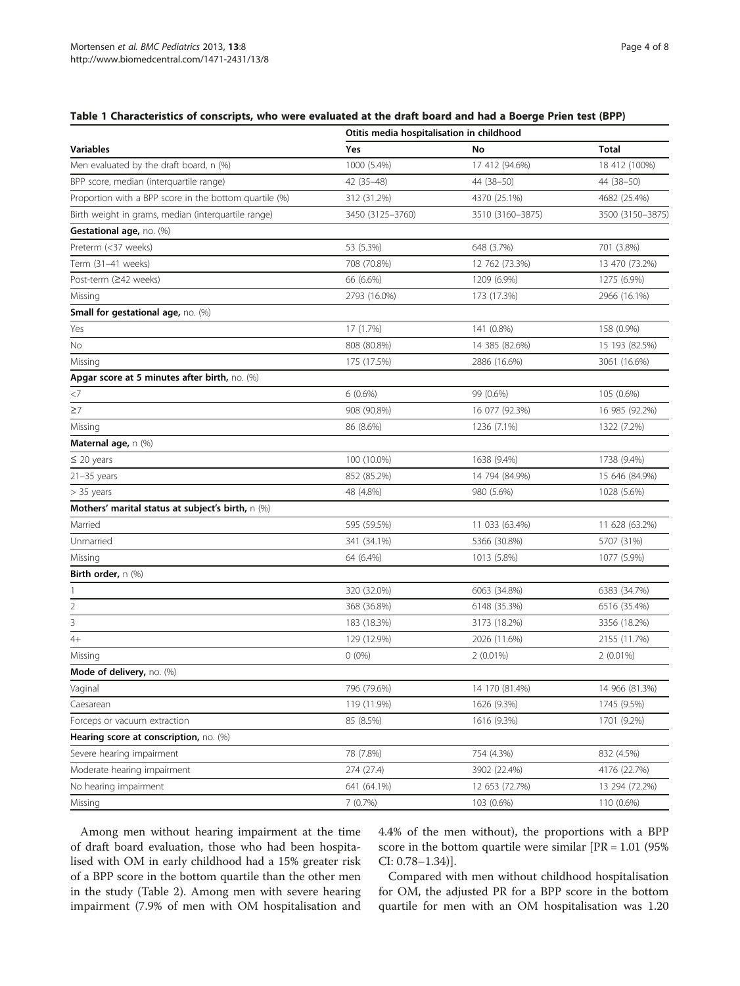### <span id="page-3-0"></span>Table 1 Characteristics of conscripts, who were evaluated at the draft board and had a Boerge Prien test (BPP)

| <b>Variables</b>                                       | Otitis media hospitalisation in childhood |                  |                  |  |
|--------------------------------------------------------|-------------------------------------------|------------------|------------------|--|
|                                                        | Yes                                       | No               | <b>Total</b>     |  |
| Men evaluated by the draft board, n (%)                | 1000 (5.4%)                               | 17 412 (94.6%)   | 18 412 (100%)    |  |
| BPP score, median (interquartile range)                | 42 (35-48)                                | 44 (38-50)       | 44 (38-50)       |  |
| Proportion with a BPP score in the bottom quartile (%) | 312 (31.2%)                               | 4370 (25.1%)     | 4682 (25.4%)     |  |
| Birth weight in grams, median (interquartile range)    | 3450 (3125-3760)                          | 3510 (3160-3875) | 3500 (3150-3875) |  |
| Gestational age, no. (%)                               |                                           |                  |                  |  |
| Preterm (<37 weeks)                                    | 53 (5.3%)                                 | 648 (3.7%)       | 701 (3.8%)       |  |
| Term (31–41 weeks)                                     | 708 (70.8%)                               | 12 762 (73.3%)   | 13 470 (73.2%)   |  |
| Post-term (≥42 weeks)                                  | 66 (6.6%)                                 | 1209 (6.9%)      | 1275 (6.9%)      |  |
| Missing                                                | 2793 (16.0%)                              | 173 (17.3%)      | 2966 (16.1%)     |  |
| Small for gestational age, no. (%)                     |                                           |                  |                  |  |
| Yes                                                    | 17 (1.7%)                                 | 141 (0.8%)       | 158 (0.9%)       |  |
| No                                                     | 808 (80.8%)                               | 14 385 (82.6%)   | 15 193 (82.5%)   |  |
| Missing                                                | 175 (17.5%)                               | 2886 (16.6%)     | 3061 (16.6%)     |  |
| Apgar score at 5 minutes after birth, no. (%)          |                                           |                  |                  |  |
| $<$ 7                                                  | $6(0.6\%)$                                | 99 (0.6%)        | 105 (0.6%)       |  |
| $\geq$ 7                                               | 908 (90.8%)                               | 16 077 (92.3%)   | 16 985 (92.2%)   |  |
| Missing                                                | 86 (8.6%)                                 | 1236 (7.1%)      | 1322 (7.2%)      |  |
| Maternal age, n (%)                                    |                                           |                  |                  |  |
| $\leq$ 20 years                                        | 100 (10.0%)                               | 1638 (9.4%)      | 1738 (9.4%)      |  |
| $21 - 35$ years                                        | 852 (85.2%)                               | 14 794 (84.9%)   | 15 646 (84.9%)   |  |
| $> 35$ years                                           | 48 (4.8%)                                 | 980 (5.6%)       | 1028 (5.6%)      |  |
| Mothers' marital status at subject's birth, $n$ (%)    |                                           |                  |                  |  |
| Married                                                | 595 (59.5%)                               | 11 033 (63.4%)   | 11 628 (63.2%)   |  |
| Unmarried                                              | 341 (34.1%)                               | 5366 (30.8%)     | 5707 (31%)       |  |
| Missing                                                | 64 (6.4%)                                 | 1013 (5.8%)      | 1077 (5.9%)      |  |
| <b>Birth order, n <math>(\%)</math></b>                |                                           |                  |                  |  |
| 1                                                      | 320 (32.0%)                               | 6063 (34.8%)     | 6383 (34.7%)     |  |
| $\overline{2}$                                         | 368 (36.8%)                               | 6148 (35.3%)     | 6516 (35.4%)     |  |
| 3                                                      | 183 (18.3%)                               | 3173 (18.2%)     | 3356 (18.2%)     |  |
| $4+$                                                   | 129 (12.9%)                               | 2026 (11.6%)     | 2155 (11.7%)     |  |
| Missing                                                | $0(0\%)$                                  | $2(0.01\%)$      | $2(0.01\%)$      |  |
| Mode of delivery, no. (%)                              |                                           |                  |                  |  |
| Vaginal                                                | 796 (79.6%)                               | 14 170 (81.4%)   | 14 966 (81.3%)   |  |
| Caesarean                                              | 119 (11.9%)                               | 1626 (9.3%)      | 1745 (9.5%)      |  |
| Forceps or vacuum extraction                           | 85 (8.5%)                                 | 1616 (9.3%)      | 1701 (9.2%)      |  |
| Hearing score at conscription, no. (%)                 |                                           |                  |                  |  |
| Severe hearing impairment                              | 78 (7.8%)                                 | 754 (4.3%)       | 832 (4.5%)       |  |
| Moderate hearing impairment                            | 274 (27.4)                                | 3902 (22.4%)     | 4176 (22.7%)     |  |
| No hearing impairment                                  | 641 (64.1%)                               | 12 653 (72.7%)   | 13 294 (72.2%)   |  |
| Missing                                                | 7(0.7%)                                   | 103 (0.6%)       | 110 (0.6%)       |  |

Among men without hearing impairment at the time of draft board evaluation, those who had been hospitalised with OM in early childhood had a 15% greater risk of a BPP score in the bottom quartile than the other men in the study (Table [2\)](#page-4-0). Among men with severe hearing impairment (7.9% of men with OM hospitalisation and 4.4% of the men without), the proportions with a BPP score in the bottom quartile were similar  $[PR = 1.01 (95\%)$ CI: 0.78–1.34)].

Compared with men without childhood hospitalisation for OM, the adjusted PR for a BPP score in the bottom quartile for men with an OM hospitalisation was 1.20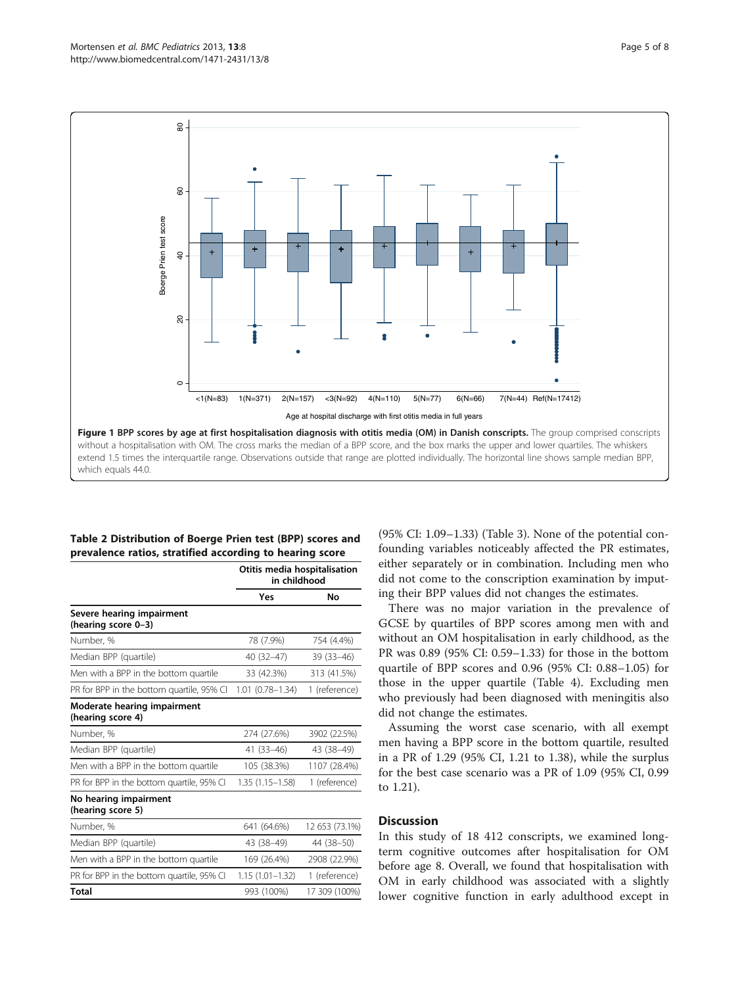<span id="page-4-0"></span>

## Table 2 Distribution of Boerge Prien test (BPP) scores and prevalence ratios, stratified according to hearing score

|                                                  | Otitis media hospitalisation<br>in childhood |                |
|--------------------------------------------------|----------------------------------------------|----------------|
|                                                  | Yes                                          | No             |
| Severe hearing impairment<br>(hearing score 0-3) |                                              |                |
| Number, %                                        | 78 (7.9%)                                    | 754 (4.4%)     |
| Median BPP (quartile)                            | $40(32-47)$                                  | $39(33-46)$    |
| Men with a BPP in the bottom quartile            | 33 (42.3%)                                   | 313 (41.5%)    |
| PR for BPP in the bottom quartile, 95% CI        | $1.01(0.78 - 1.34)$                          | 1 (reference)  |
| Moderate hearing impairment<br>(hearing score 4) |                                              |                |
| Number, %                                        | 274 (27.6%)                                  | 3902 (22.5%)   |
| Median BPP (quartile)                            | $41(33 - 46)$                                | 43 (38-49)     |
| Men with a BPP in the bottom quartile            | 105 (38.3%)                                  | 1107 (28.4%)   |
| PR for BPP in the bottom quartile, 95% CI        | $1.35(1.15 - 1.58)$                          | 1 (reference)  |
| No hearing impairment<br>(hearing score 5)       |                                              |                |
| Number, %                                        | 641 (64.6%)                                  | 12 653 (73.1%) |
| Median BPP (quartile)                            | 43 (38-49)                                   | 44 (38–50)     |
| Men with a BPP in the bottom quartile            | 169 (26.4%)                                  | 2908 (22.9%)   |
| PR for BPP in the bottom quartile, 95% CI        | $1.15(1.01 - 1.32)$                          | 1 (reference)  |
| Total                                            | 993 (100%)                                   | 17 309 (100%)  |

(95% CI: 1.09–1.33) (Table [3](#page-5-0)). None of the potential confounding variables noticeably affected the PR estimates, either separately or in combination. Including men who did not come to the conscription examination by imputing their BPP values did not changes the estimates.

There was no major variation in the prevalence of GCSE by quartiles of BPP scores among men with and without an OM hospitalisation in early childhood, as the PR was 0.89 (95% CI: 0.59–1.33) for those in the bottom quartile of BPP scores and 0.96 (95% CI: 0.88–1.05) for those in the upper quartile (Table [4](#page-5-0)). Excluding men who previously had been diagnosed with meningitis also did not change the estimates.

Assuming the worst case scenario, with all exempt men having a BPP score in the bottom quartile, resulted in a PR of 1.29 (95% CI, 1.21 to 1.38), while the surplus for the best case scenario was a PR of 1.09 (95% CI, 0.99 to 1.21).

## **Discussion**

In this study of 18 412 conscripts, we examined longterm cognitive outcomes after hospitalisation for OM before age 8. Overall, we found that hospitalisation with OM in early childhood was associated with a slightly lower cognitive function in early adulthood except in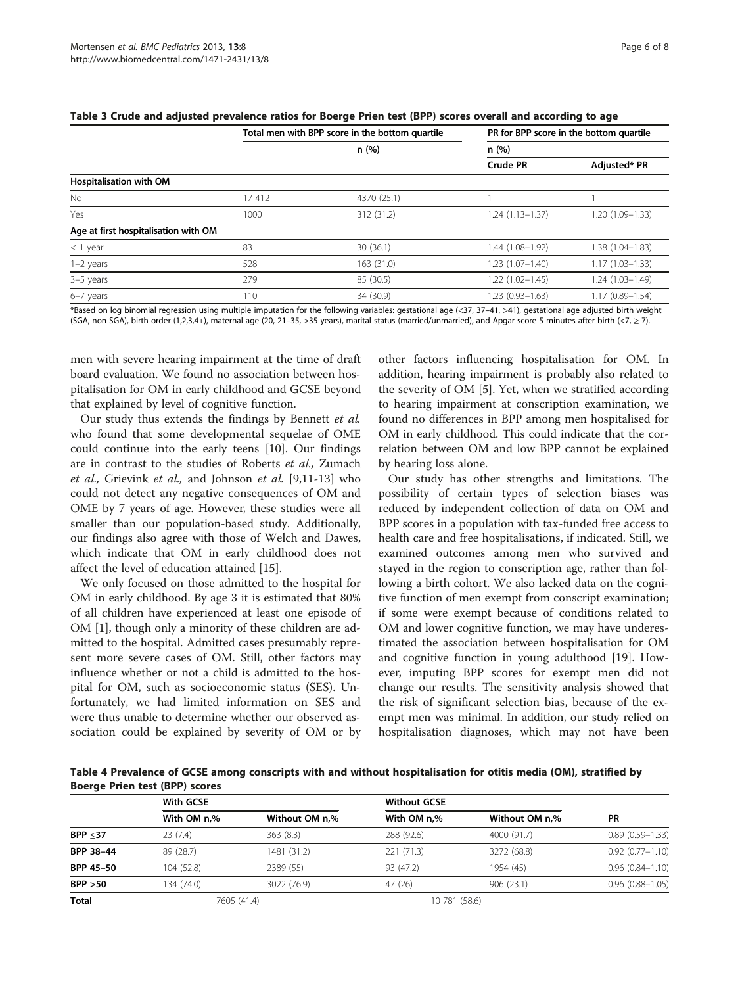|                                      | Total men with BPP score in the bottom quartile |             | PR for BPP score in the bottom quartile |                     |  |
|--------------------------------------|-------------------------------------------------|-------------|-----------------------------------------|---------------------|--|
|                                      |                                                 | n(%)        | n(%)                                    |                     |  |
|                                      |                                                 |             | <b>Crude PR</b>                         | Adjusted* PR        |  |
| Hospitalisation with OM              |                                                 |             |                                         |                     |  |
| No.                                  | 17412                                           | 4370 (25.1) |                                         |                     |  |
| Yes                                  | 1000                                            | 312 (31.2)  | $1.24(1.13 - 1.37)$                     | 1.20 (1.09-1.33)    |  |
| Age at first hospitalisation with OM |                                                 |             |                                         |                     |  |
| $<$ 1 year                           | 83                                              | 30(36.1)    | 1.44 (1.08-1.92)                        | 1.38 (1.04-1.83)    |  |
| $1-2$ years                          | 528                                             | 163(31.0)   | $1.23(1.07 - 1.40)$                     | $1.17(1.03 - 1.33)$ |  |
| 3-5 years                            | 279                                             | 85 (30.5)   | $1.22(1.02 - 1.45)$                     | 1.24 (1.03-1.49)    |  |
| 6-7 years                            | 110                                             | 34 (30.9)   | $1.23(0.93 - 1.63)$                     | 1.17 (0.89-1.54)    |  |

 $T \times 1$  score in the bottom quartile  $P$  for  $P$   $P$  for  $P$   $P$   $P$  score in the bottom quartile  $P$ 

<span id="page-5-0"></span>

| Table 3 Crude and adjusted prevalence ratios for Boerge Prien test (BPP) scores overall and according to age |  |  |
|--------------------------------------------------------------------------------------------------------------|--|--|
|--------------------------------------------------------------------------------------------------------------|--|--|

\*Based on log binomial regression using multiple imputation for the following variables: gestational age (<37, 37–41, >41), gestational age adjusted birth weight (SGA, non-SGA), birth order (1,2,3,4+), maternal age (20, 21-35, >35 years), marital status (married/unmarried), and Apgar score 5-minutes after birth (<7,  $\ge$  7).

men with severe hearing impairment at the time of draft board evaluation. We found no association between hospitalisation for OM in early childhood and GCSE beyond that explained by level of cognitive function.

Our study thus extends the findings by Bennett et al. who found that some developmental sequelae of OME could continue into the early teens [[10](#page-6-0)]. Our findings are in contrast to the studies of Roberts et al., Zumach et al., Grievink et al., and Johnson et al. [[9,11-13](#page-6-0)] who could not detect any negative consequences of OM and OME by 7 years of age. However, these studies were all smaller than our population-based study. Additionally, our findings also agree with those of Welch and Dawes, which indicate that OM in early childhood does not affect the level of education attained [[15\]](#page-6-0).

We only focused on those admitted to the hospital for OM in early childhood. By age 3 it is estimated that 80% of all children have experienced at least one episode of OM [[1](#page-6-0)], though only a minority of these children are admitted to the hospital. Admitted cases presumably represent more severe cases of OM. Still, other factors may influence whether or not a child is admitted to the hospital for OM, such as socioeconomic status (SES). Unfortunately, we had limited information on SES and were thus unable to determine whether our observed association could be explained by severity of OM or by other factors influencing hospitalisation for OM. In addition, hearing impairment is probably also related to the severity of OM [[5](#page-6-0)]. Yet, when we stratified according to hearing impairment at conscription examination, we found no differences in BPP among men hospitalised for OM in early childhood. This could indicate that the correlation between OM and low BPP cannot be explained by hearing loss alone.

Our study has other strengths and limitations. The possibility of certain types of selection biases was reduced by independent collection of data on OM and BPP scores in a population with tax-funded free access to health care and free hospitalisations, if indicated. Still, we examined outcomes among men who survived and stayed in the region to conscription age, rather than following a birth cohort. We also lacked data on the cognitive function of men exempt from conscript examination; if some were exempt because of conditions related to OM and lower cognitive function, we may have underestimated the association between hospitalisation for OM and cognitive function in young adulthood [[19\]](#page-6-0). However, imputing BPP scores for exempt men did not change our results. The sensitivity analysis showed that the risk of significant selection bias, because of the exempt men was minimal. In addition, our study relied on hospitalisation diagnoses, which may not have been

Table 4 Prevalence of GCSE among conscripts with and without hospitalisation for otitis media (OM), stratified by Boerge Prien test (BPP) scores

|                  | With GCSE   |                | <b>Without GCSE</b> |                |                     |
|------------------|-------------|----------------|---------------------|----------------|---------------------|
|                  | With OM n.% | Without OM n,% | With OM n.%         | Without OM n,% | <b>PR</b>           |
| BPP < 37         | 23(7.4)     | 363(8.3)       | 288 (92.6)          | 4000 (91.7)    | $0.89(0.59 - 1.33)$ |
| BPP 38-44        | 89 (28.7)   | 1481 (31.2)    | 221 (71.3)          | 3272 (68.8)    | $0.92(0.77 - 1.10)$ |
| <b>BPP 45-50</b> | 104 (52.8)  | 2389 (55)      | 93 (47.2)           | 1954 (45)      | $0.96(0.84 - 1.10)$ |
| BPP > 50         | 134 (74.0)  | 3022 (76.9)    | 47(26)              | 906(23.1)      | $0.96(0.88 - 1.05)$ |
| Total            | 7605 (41.4) |                | 10 781 (58.6)       |                |                     |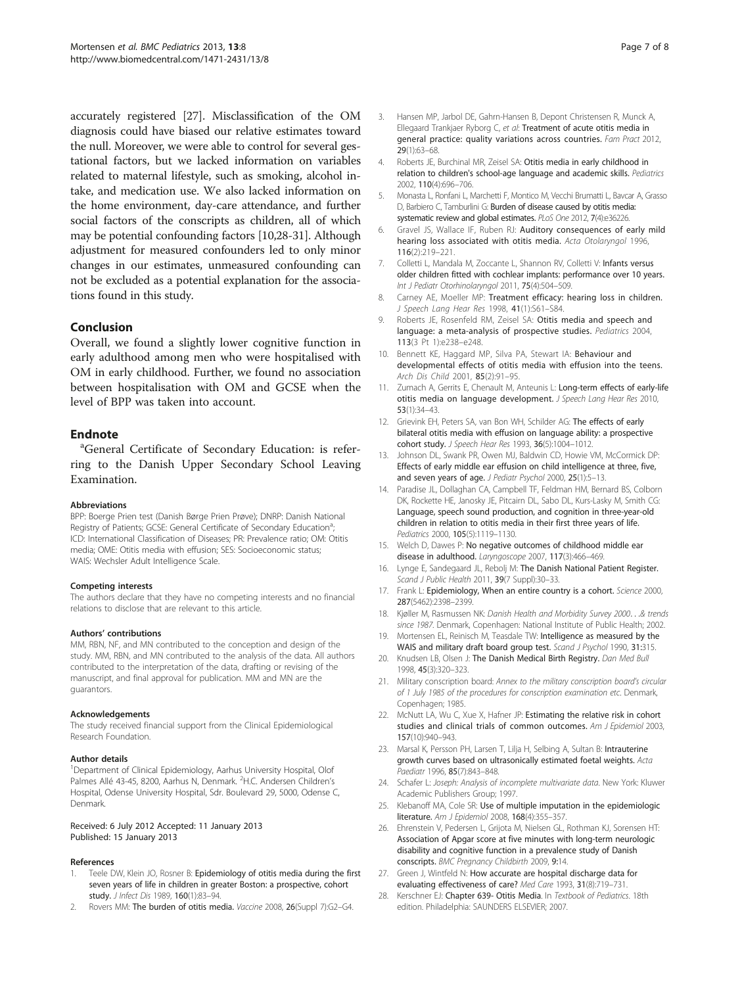<span id="page-6-0"></span>accurately registered [27]. Misclassification of the OM diagnosis could have biased our relative estimates toward the null. Moreover, we were able to control for several gestational factors, but we lacked information on variables related to maternal lifestyle, such as smoking, alcohol intake, and medication use. We also lacked information on the home environment, day-care attendance, and further social factors of the conscripts as children, all of which may be potential confounding factors [10,28-[31](#page-7-0)]. Although adjustment for measured confounders led to only minor changes in our estimates, unmeasured confounding can not be excluded as a potential explanation for the associations found in this study.

## Conclusion

Overall, we found a slightly lower cognitive function in early adulthood among men who were hospitalised with OM in early childhood. Further, we found no association between hospitalisation with OM and GCSE when the level of BPP was taken into account.

## **Endnote**

General Certificate of Secondary Education: is referring to the Danish Upper Secondary School Leaving Examination.

#### Abbreviations

BPP: Boerge Prien test (Danish Børge Prien Prøve); DNRP: Danish National Registry of Patients; GCSE: General Certificate of Secondary Education<sup>a</sup>; ; ICD: International Classification of Diseases; PR: Prevalence ratio; OM: Otitis media; OME: Otitis media with effusion; SES: Socioeconomic status; WAIS: Wechsler Adult Intelligence Scale.

#### Competing interests

The authors declare that they have no competing interests and no financial relations to disclose that are relevant to this article.

#### Authors' contributions

MM, RBN, NF, and MN contributed to the conception and design of the study. MM, RBN, and MN contributed to the analysis of the data. All authors contributed to the interpretation of the data, drafting or revising of the manuscript, and final approval for publication. MM and MN are the guarantors.

#### Acknowledgements

The study received financial support from the Clinical Epidemiological Research Foundation.

#### Author details

<sup>1</sup>Department of Clinical Epidemiology, Aarhus University Hospital, Olof Palmes Allé 43-45, 8200, Aarhus N, Denmark. <sup>2</sup>H.C. Andersen Children's Hospital, Odense University Hospital, Sdr. Boulevard 29, 5000, Odense C, Denmark.

#### Received: 6 July 2012 Accepted: 11 January 2013 Published: 15 January 2013

#### References

- Teele DW, Klein JO, Rosner B: Epidemiology of otitis media during the first seven years of life in children in greater Boston: a prospective, cohort study. J Infect Dis 1989, 160(1):83-94.
- Rovers MM: The burden of otitis media. Vaccine 2008, 26(Suppl 7):G2-G4.
- 4. Roberts JE, Burchinal MR, Zeisel SA: Otitis media in early childhood in relation to children's school-age language and academic skills. Pediatrics 2002, 110(4):696–706.
- 5. Monasta L, Ronfani L, Marchetti F, Montico M, Vecchi Brumatti L, Bavcar A, Grasso D, Barbiero C, Tamburlini G: Burden of disease caused by otitis media: systematic review and global estimates. PLoS One 2012, 7(4):e36226.
- 6. Gravel JS, Wallace IF, Ruben RJ: Auditory consequences of early mild hearing loss associated with otitis media. Acta Otolaryngol 1996, 116(2):219–221.
- 7. Colletti L, Mandala M, Zoccante L, Shannon RV, Colletti V: Infants versus older children fitted with cochlear implants: performance over 10 years. Int J Pediatr Otorhinolaryngol 2011, 75(4):504–509.
- 8. Carney AE, Moeller MP: Treatment efficacy: hearing loss in children. J Speech Lang Hear Res 1998, 41(1):S61–S84.
- 9. Roberts JE, Rosenfeld RM, Zeisel SA: Otitis media and speech and language: a meta-analysis of prospective studies. Pediatrics 2004, 113(3 Pt 1):e238–e248.
- 10. Bennett KE, Haggard MP, Silva PA, Stewart IA: Behaviour and developmental effects of otitis media with effusion into the teens. Arch Dis Child 2001, 85(2):91–95.
- 11. Zumach A, Gerrits E, Chenault M, Anteunis L: Long-term effects of early-life otitis media on language development. J Speech Lang Hear Res 2010, 53(1):34–43.
- 12. Grievink EH, Peters SA, van Bon WH, Schilder AG: The effects of early bilateral otitis media with effusion on language ability: a prospective cohort study. J Speech Hear Res 1993, 36(5):1004–1012.
- 13. Johnson DL, Swank PR, Owen MJ, Baldwin CD, Howie VM, McCormick DP: Effects of early middle ear effusion on child intelligence at three, five, and seven years of age. J Pediatr Psychol 2000, 25(1):5-13.
- 14. Paradise JL, Dollaghan CA, Campbell TF, Feldman HM, Bernard BS, Colborn DK, Rockette HE, Janosky JE, Pitcairn DL, Sabo DL, Kurs-Lasky M, Smith CG: Language, speech sound production, and cognition in three-year-old children in relation to otitis media in their first three years of life. Pediatrics 2000, 105(5):1119–1130.
- 15. Welch D, Dawes P: No negative outcomes of childhood middle ear disease in adulthood. Laryngoscope 2007, 117(3):466-469.
- 16. Lynge E, Sandegaard JL, Rebolj M: The Danish National Patient Register. Scand J Public Health 2011, 39(7 Suppl):30–33.
- 17. Frank L: Epidemiology, When an entire country is a cohort. Science 2000, 287(5462):2398–2399.
- 18. Kjøller M, Rasmussen NK: Danish Health and Morbidity Survey 2000...& trends since 1987. Denmark, Copenhagen: National Institute of Public Health; 2002.
- 19. Mortensen EL, Reinisch M, Teasdale TW: Intelligence as measured by the WAIS and military draft board group test. Scand J Psychol 1990, 31:315.
- 20. Knudsen LB, Olsen J: The Danish Medical Birth Registry. Dan Med Bull 1998, 45(3):320–323.
- 21. Military conscription board: Annex to the military conscription board's circular of 1 July 1985 of the procedures for conscription examination etc. Denmark, Copenhagen; 1985.
- 22. McNutt LA, Wu C, Xue X, Hafner JP: Estimating the relative risk in cohort studies and clinical trials of common outcomes. Am J Epidemiol 2003, 157(10):940–943.
- 23. Marsal K, Persson PH, Larsen T, Lilja H, Selbing A, Sultan B: Intrauterine growth curves based on ultrasonically estimated foetal weights. Acta Paediatr 1996, 85(7):843–848.
- 24. Schafer L: Joseph: Analysis of incomplete multivariate data. New York: Kluwer Academic Publishers Group; 1997.
- 25. Klebanoff MA, Cole SR: Use of multiple imputation in the epidemiologic literature. Am J Epidemiol 2008, 168(4):355–357.
- 26. Ehrenstein V, Pedersen L, Grijota M, Nielsen GL, Rothman KJ, Sorensen HT: Association of Apgar score at five minutes with long-term neurologic disability and cognitive function in a prevalence study of Danish conscripts. BMC Pregnancy Childbirth 2009, 9:14.
- 27. Green J, Wintfeld N: How accurate are hospital discharge data for evaluating effectiveness of care? Med Care 1993, 31(8):719–731.
- 28. Kerschner EJ: Chapter 639- Otitis Media. In Textbook of Pediatrics. 18th edition. Philadelphia: SAUNDERS ELSEVIER; 2007.